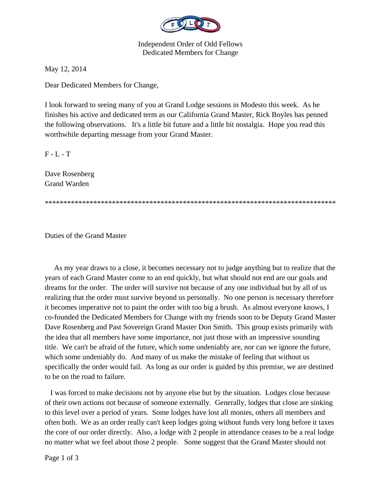

Independent Order of Odd Fellows Dedicated Members for Change

May 12, 2014

Dear Dedicated Members for Change,

I look forward to seeing many of you at Grand Lodge sessions in Modesto this week. As he finishes his active and dedicated term as our California Grand Master, Rick Boyles has penned the following observations. It's a little bit future and a little bit nostalgia. Hope you read this worthwhile departing message from your Grand Master.

 $F - L - T$ 

Dave Rosenberg Grand Warden

\*\*\*\*\*\*\*\*\*\*\*\*\*\*\*\*\*\*\*\*\*\*\*\*\*\*\*\*\*\*\*\*\*\*\*\*\*\*\*\*\*\*\*\*\*\*\*\*\*\*\*\*\*\*\*\*\*\*\*\*\*\*\*\*\*\*\*\*\*\*\*\*\*\*\*\*\*\*

Duties of the Grand Master

 As my year draws to a close, it becomes necessary not to judge anything but to realize that the years of each Grand Master come to an end quickly, but what should not end are our goals and dreams for the order. The order will survive not because of any one individual but by all of us realizing that the order must survive beyond us personally. No one person is necessary therefore it becomes imperative not to paint the order with too big a brush. As almost everyone knows, I co-founded the Dedicated Members for Change with my friends soon to be Deputy Grand Master Dave Rosenberg and Past Sovereign Grand Master Don Smith. This group exists primarily with the idea that all members have some importance, not just those with an impressive sounding title. We can't be afraid of the future, which some undeniably are, nor can we ignore the future, which some undeniably do. And many of us make the mistake of feeling that without us specifically the order would fail. As long as our order is guided by this premise, we are destined to be on the road to failure.

 I was forced to make decisions not by anyone else but by the situation. Lodges close because of their own actions not because of someone externally. Generally, lodges that close are sinking to this level over a period of years. Some lodges have lost all monies, others all members and often both. We as an order really can't keep lodges going without funds very long before it taxes the core of our order directly. Also, a lodge with 2 people in attendance ceases to be a real lodge no matter what we feel about those 2 people. Some suggest that the Grand Master should not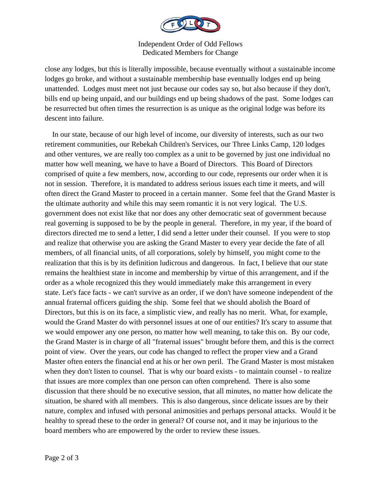

Independent Order of Odd Fellows Dedicated Members for Change

close any lodges, but this is literally impossible, because eventually without a sustainable income lodges go broke, and without a sustainable membership base eventually lodges end up being unattended. Lodges must meet not just because our codes say so, but also because if they don't, bills end up being unpaid, and our buildings end up being shadows of the past. Some lodges can be resurrected but often times the resurrection is as unique as the original lodge was before its descent into failure.

 In our state, because of our high level of income, our diversity of interests, such as our two retirement communities, our Rebekah Children's Services, our Three Links Camp, 120 lodges and other ventures, we are really too complex as a unit to be governed by just one individual no matter how well meaning, we have to have a Board of Directors. This Board of Directors comprised of quite a few members, now, according to our code, represents our order when it is not in session. Therefore, it is mandated to address serious issues each time it meets, and will often direct the Grand Master to proceed in a certain manner. Some feel that the Grand Master is the ultimate authority and while this may seem romantic it is not very logical. The U.S. government does not exist like that nor does any other democratic seat of government because real governing is supposed to be by the people in general. Therefore, in my year, if the board of directors directed me to send a letter, I did send a letter under their counsel. If you were to stop and realize that otherwise you are asking the Grand Master to every year decide the fate of all members, of all financial units, of all corporations, solely by himself, you might come to the realization that this is by its definition ludicrous and dangerous. In fact, I believe that our state remains the healthiest state in income and membership by virtue of this arrangement, and if the order as a whole recognized this they would immediately make this arrangement in every state. Let's face facts - we can't survive as an order, if we don't have someone independent of the annual fraternal officers guiding the ship. Some feel that we should abolish the Board of Directors, but this is on its face, a simplistic view, and really has no merit. What, for example, would the Grand Master do with personnel issues at one of our entities? It's scary to assume that we would empower any one person, no matter how well meaning, to take this on. By our code, the Grand Master is in charge of all "fraternal issues" brought before them, and this is the correct point of view. Over the years, our code has changed to reflect the proper view and a Grand Master often enters the financial end at his or her own peril. The Grand Master is most mistaken when they don't listen to counsel. That is why our board exists - to maintain counsel - to realize that issues are more complex than one person can often comprehend. There is also some discussion that there should be no executive session, that all minutes, no matter how delicate the situation, be shared with all members. This is also dangerous, since delicate issues are by their nature, complex and infused with personal animosities and perhaps personal attacks. Would it be healthy to spread these to the order in general? Of course not, and it may be injurious to the board members who are empowered by the order to review these issues.